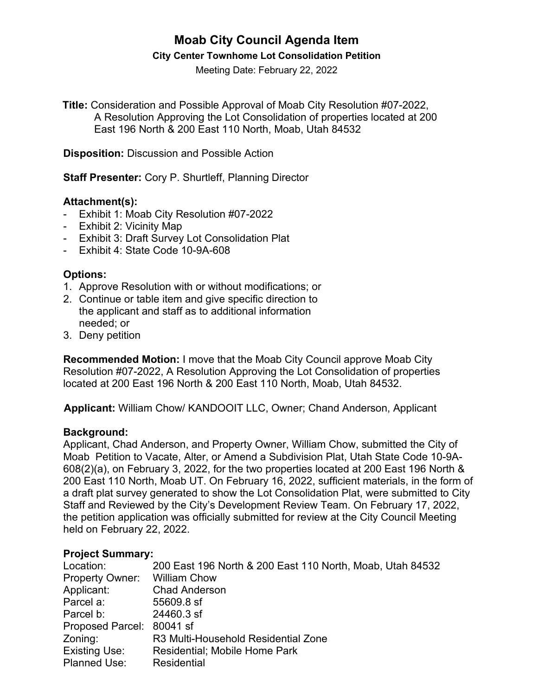# **Moab City Council Agenda Item**

#### **City Center Townhome Lot Consolidation Petition**

Meeting Date: February 22, 2022

**Title:** Consideration and Possible Approval of Moab City Resolution #07-2022, A Resolution Approving the Lot Consolidation of properties located at 200 East 196 North & 200 East 110 North, Moab, Utah 84532

**Disposition:** Discussion and Possible Action

**Staff Presenter:** Cory P. Shurtleff, Planning Director

#### **Attachment(s):**

- Exhibit 1: Moab City Resolution #07-2022
- Exhibit 2: Vicinity Map
- Exhibit 3: Draft Survey Lot Consolidation Plat
- Exhibit 4: State Code 10-9A-608

### **Options:**

- 1. Approve Resolution with or without modifications; or
- 2. Continue or table item and give specific direction to the applicant and staff as to additional information needed; or
- 3. Deny petition

**Recommended Motion:** I move that the Moab City Council approve Moab City Resolution #07-2022, A Resolution Approving the Lot Consolidation of properties located at 200 East 196 North & 200 East 110 North, Moab, Utah 84532.

**Applicant:** William Chow/ KANDOOIT LLC, Owner; Chand Anderson, Applicant

#### **Background:**

Applicant, Chad Anderson, and Property Owner, William Chow, submitted the City of Moab Petition to Vacate, Alter, or Amend a Subdivision Plat, Utah State Code 10-9A-608(2)(a), on February 3, 2022, for the two properties located at 200 East 196 North & 200 East 110 North, Moab UT. On February 16, 2022, sufficient materials, in the form of a draft plat survey generated to show the Lot Consolidation Plat, were submitted to City Staff and Reviewed by the City's Development Review Team. On February 17, 2022, the petition application was officially submitted for review at the City Council Meeting held on February 22, 2022.

#### **Project Summary:**

| Location:                 | 200 East 196 North & 200 East 110 North, Moab, Utah 84532 |
|---------------------------|-----------------------------------------------------------|
| <b>Property Owner:</b>    | <b>William Chow</b>                                       |
| Applicant:                | <b>Chad Anderson</b>                                      |
| Parcel a:                 | 55609.8 sf                                                |
| Parcel b:                 | 24460.3 sf                                                |
| Proposed Parcel: 80041 sf |                                                           |
| Zoning:                   | R3 Multi-Household Residential Zone                       |
| Existing Use:             | Residential; Mobile Home Park                             |
| <b>Planned Use:</b>       | Residential                                               |